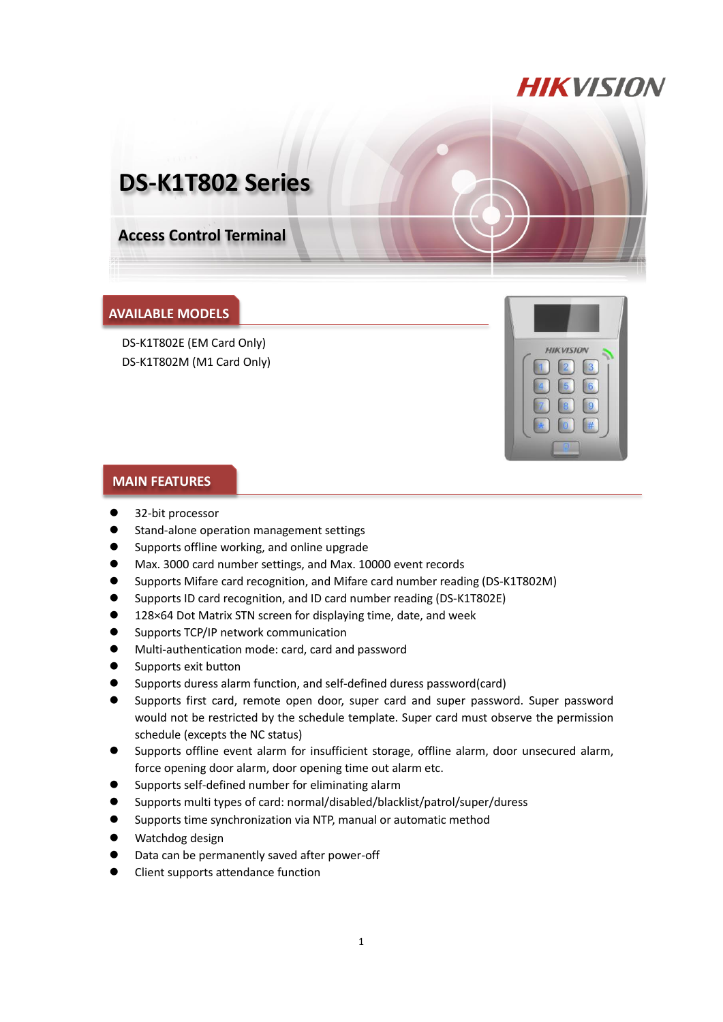## **HIKVISION**

# **DS-K1T802 Series**

**Access Control Terminal**

#### **AVAILABLE MODELS**

DS-K1T802E (EM Card Only) DS-K1T802M (M1 Card Only)



#### **MAIN FEATURES**

- 32-bit processor
- Stand-alone operation management settings
- Supports offline working, and online upgrade
- Max. 3000 card number settings, and Max. 10000 event records
- Supports Mifare card recognition, and Mifare card number reading (DS-K1T802M)
- Supports ID card recognition, and ID card number reading (DS-K1T802E)
- 128×64 Dot Matrix STN screen for displaying time, date, and week
- **Supports TCP/IP network communication**
- Multi-authentication mode: card, card and password
- Supports exit button
- Supports duress alarm function, and self-defined duress password(card)
- Supports first card, remote open door, super card and super password. Super password would not be restricted by the schedule template. Super card must observe the permission schedule (excepts the NC status)
- Supports offline event alarm for insufficient storage, offline alarm, door unsecured alarm, force opening door alarm, door opening time out alarm etc.
- Supports self-defined number for eliminating alarm
- Supports multi types of card: normal/disabled/blacklist/patrol/super/duress
- Supports time synchronization via NTP, manual or automatic method
- Watchdog design
- Data can be permanently saved after power-off
- Client supports attendance function